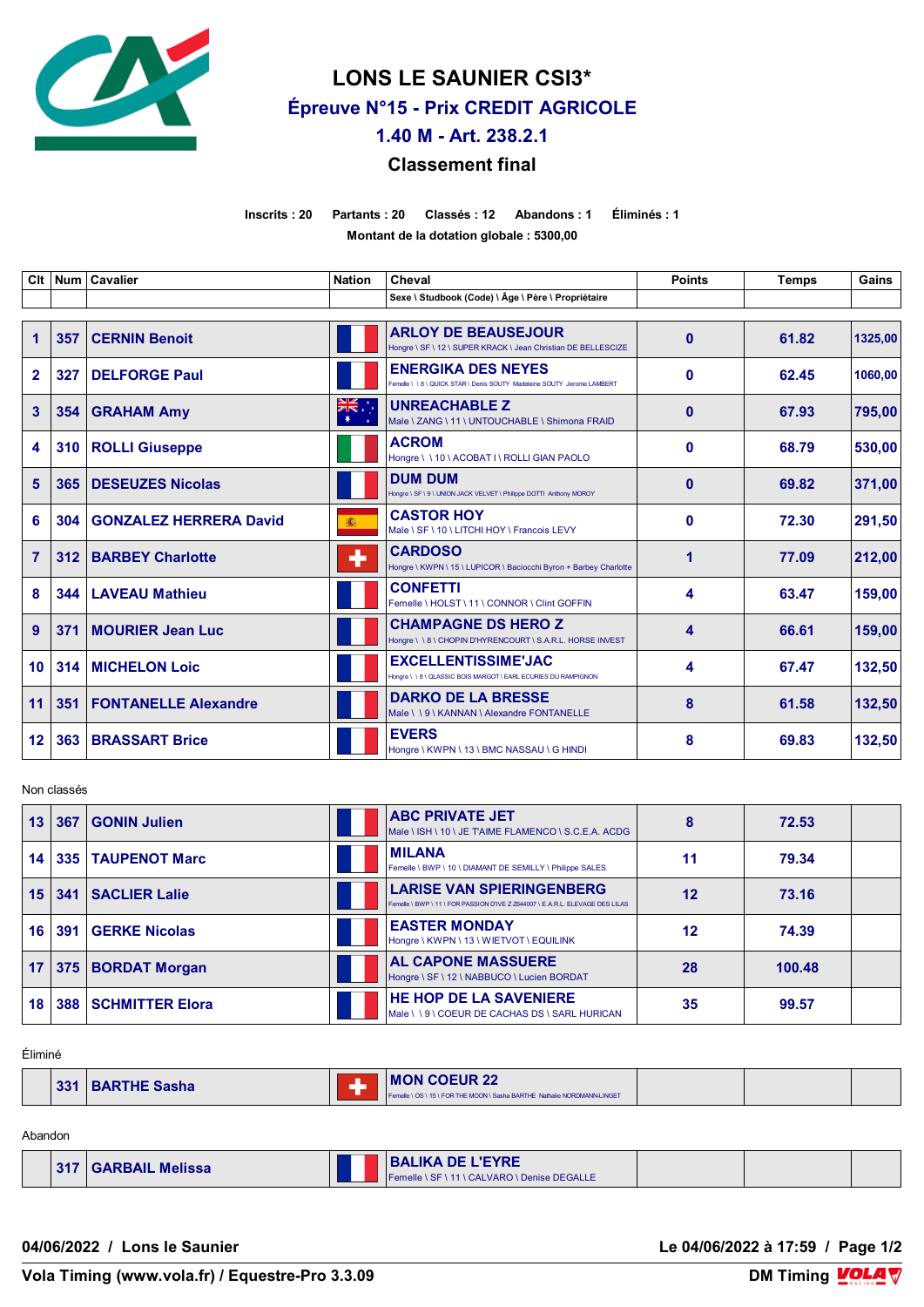

**LONS LE SAUNIER CSI3\* Épreuve N°15 - Prix CREDIT AGRICOLE**

**1.40 M - Art. 238.2.1**

## **Classement final**

**Inscrits : 20 Partants : 20 Classés : 12 Abandons : 1 Éliminés : 1 Montant de la dotation globale : 5300,00**

| Clt                  |     | Num   Cavalier                | <b>Nation</b> | Cheval                                                                                               | <b>Points</b> | <b>Temps</b> | Gains   |
|----------------------|-----|-------------------------------|---------------|------------------------------------------------------------------------------------------------------|---------------|--------------|---------|
|                      |     |                               |               | Sexe \ Studbook (Code) \ Âge \ Père \ Propriétaire                                                   |               |              |         |
| $\blacktriangleleft$ | 357 | <b>CERNIN Benoit</b>          |               | <b>ARLOY DE BEAUSEJOUR</b><br>Hongre \ SF \ 12 \ SUPER KRACK \ Jean Christian DE BELLESCIZE          | $\mathbf{0}$  | 61.82        | 1325.00 |
| $\mathbf{2}$         | 327 | <b>DELFORGE Paul</b>          |               | <b>ENERGIKA DES NEYES</b><br>Femelle \ \ 8 \ QUICK STAR \ Denis SOUTY Madeleine SOUTY Jerome LAMBERT | 0             | 62.45        | 1060.00 |
| 3                    | 354 | <b>GRAHAM Amy</b>             | ÷, ak<br>∗    | <b>UNREACHABLE Z</b><br>Male \ ZANG \ 11 \ UNTOUCHABLE \ Shimona FRAID                               | $\mathbf{0}$  | 67.93        | 795,00  |
| 4                    | 310 | <b>ROLLI Giuseppe</b>         |               | <b>ACROM</b><br>Hongre \\10\ACOBATI\ROLLIGIAN PAOLO                                                  | $\mathbf 0$   | 68.79        | 530,00  |
| 5                    | 365 | <b>DESEUZES Nicolas</b>       |               | <b>DUM DUM</b><br>Hongre \ SF \ 9 \ UNION JACK VELVET \ Philippe DOTTI Anthony MOROY                 | $\bf{0}$      | 69.82        | 371.00  |
| 6                    | 304 | <b>GONZALEZ HERRERA David</b> | 瀛             | <b>CASTOR HOY</b><br>Male \ SF \ 10 \ LITCHI HOY \ Francois LEVY                                     | $\bf{0}$      | 72.30        | 291,50  |
| $\overline{7}$       | 312 | <b>BARBEY Charlotte</b>       | ٠             | <b>CARDOSO</b><br>Hongre \ KWPN \ 15 \ LUPICOR \ Baciocchi Byron + Barbey Charlotte                  | 1             | 77.09        | 212,00  |
| 8                    | 344 | <b>LAVEAU Mathieu</b>         |               | <b>CONFETTI</b><br>Femelle \ HOLST \ 11 \ CONNOR \ Clint GOFFIN                                      | 4             | 63.47        | 159,00  |
| 9                    | 371 | <b>MOURIER Jean Luc</b>       |               | <b>CHAMPAGNE DS HERO Z</b><br>Hongre \\8\CHOPIN D'HYRENCOURT \ S.A.R.L. HORSE INVEST                 | 4             | 66.61        | 159,00  |
| 10 <sub>1</sub>      | 314 | <b>MICHELON Loic</b>          |               | <b>EXCELLENTISSIME'JAC</b><br>Hongre \\\8\QLASSIC BOIS MARGOT\EARL ECURIES DU RAMPIGNON              | 4             | 67.47        | 132,50  |
| 11                   | 351 | <b>FONTANELLE Alexandre</b>   |               | <b>DARKO DE LA BRESSE</b><br>Male \\9\KANNAN\Alexandre FONTANELLE                                    | 8             | 61.58        | 132,50  |
| 12 <sub>2</sub>      | 363 | <b>BRASSART Brice</b>         |               | <b>EVERS</b><br>Hongre \ KWPN \ 13 \ BMC NASSAU \ G HINDI                                            | 8             | 69.83        | 132,50  |

Non classés

| 13 | 367 | <b>GONIN Julien</b>   | <b>ABC PRIVATE JET</b><br>Male \ ISH \ 10 \ JE TAIME FLAMENCO \ S.C.E.A. ACDG                                     | 8  | 72.53  |  |
|----|-----|-----------------------|-------------------------------------------------------------------------------------------------------------------|----|--------|--|
| 14 |     | 335   TAUPENOT Marc   | <b>MILANA</b><br>Femelle \ BWP \ 10 \ DIAMANT DE SEMILLY \ Philippe SALES                                         | 11 | 79.34  |  |
| 15 | 341 | <b>SACLIER Lalie</b>  | <b>LARISE VAN SPIERINGENBERG</b><br>Femelle \ BWP \ 11 \ FOR PASSION D'IVE Z Z644007 \ E.A.R.L. ELEVAGE DES LILAS | 12 | 73.16  |  |
| 16 | 391 | <b>GERKE Nicolas</b>  | <b>EASTER MONDAY</b><br>Hongre \ KWPN \ 13 \ WIETVOT \ EQUILINK                                                   | 12 | 74.39  |  |
| 17 |     | 375   BORDAT Morgan   | <b>AL CAPONE MASSUERE</b><br>Hongre \ SF \ 12 \ NABBUCO \ Lucien BORDAT                                           | 28 | 100.48 |  |
| 18 |     | 388   SCHMITTER Elora | <b>HE HOP DE LA SAVENIERE</b><br>Male \\9\COEUR DE CACHAS DS\SARL HURICAN                                         | 35 | 99.57  |  |

Éliminé

| 331 | <b>BARTHE Sasha</b> |  | <b>MON COEUR 22</b><br>Femelle \ OS \ 15 \ FOR THE MOON \ Sasha BARTHE Nathalie NORDMANN-LINGET |  |  |  |
|-----|---------------------|--|-------------------------------------------------------------------------------------------------|--|--|--|
|-----|---------------------|--|-------------------------------------------------------------------------------------------------|--|--|--|

Abandon

|  | 317   GARBAIL Melissa |  | <b>BALIKA DE L'EYRE</b><br>Femelle \ SF \ 11 \ CALVARO \ Denise DEGALLE |  |  |  |
|--|-----------------------|--|-------------------------------------------------------------------------|--|--|--|
|--|-----------------------|--|-------------------------------------------------------------------------|--|--|--|

**04/06/2022 / Lons le Saunier Le 04/06/2022 à 17:59 / Page 1/2**